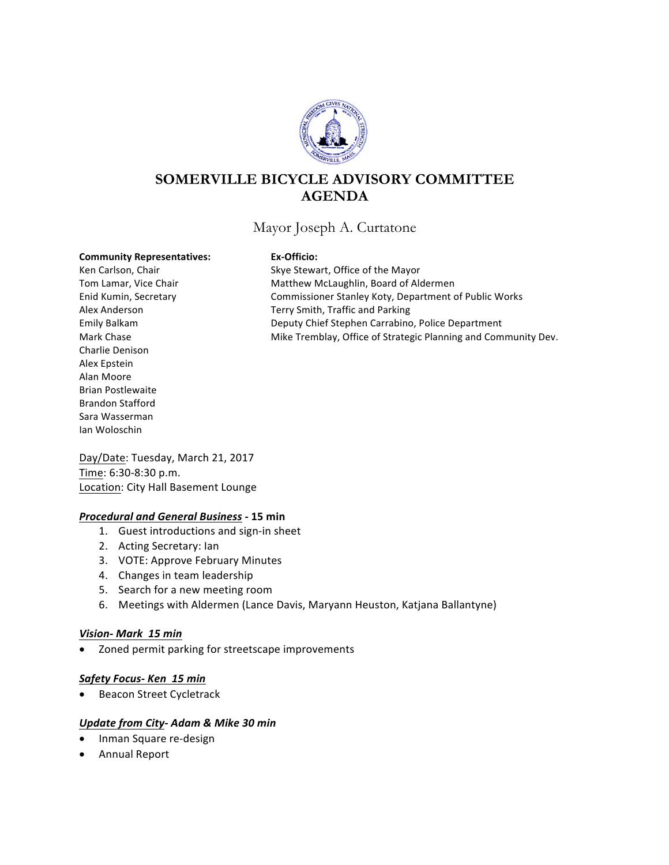

# **SOMERVILLE BICYCLE ADVISORY COMMITTEE AGENDA**

Mayor Joseph A. Curtatone

#### **Community Representatives: Ex-Officio:**

Charlie Denison Alex Epstein Alan Moore Brian Postlewaite Brandon Stafford Sara Wasserman Ian Woloschin

Ken Carlson, Chair **Skye Stewart, Office of the Mayor** Tom Lamar, Vice Chair **Matthew McLaughlin, Board of Aldermen** Enid Kumin, Secretary **Commissioner Stanley Koty, Department of Public Works** Alex Anderson Terry Smith, Traffic and Parking Emily Balkam **Deputy Chief Stephen Carrabino, Police Department** Mark Chase **Mike Tremblay, Office of Strategic Planning and Community Dev.** Mike Tremblay, Office of Strategic Planning and Community Dev.

Day/Date: Tuesday, March 21, 2017 Time: 6:30-8:30 p.m. Location: City Hall Basement Lounge

### *Procedural and General Business -* **15 min**

- 1. Guest introductions and sign-in sheet
- 2. Acting Secretary: lan
- 3. VOTE: Approve February Minutes
- 4. Changes in team leadership
- 5. Search for a new meeting room
- 6. Meetings with Aldermen (Lance Davis, Maryann Heuston, Katjana Ballantyne)

### *Vision- Mark 15 min*

Zoned permit parking for streetscape improvements

### *Safety Focus- Ken 15 min*

• Beacon Street Cycletrack

### *Update from City- Adam & Mike 30 min*

- Inman Square re-design
- Annual Report